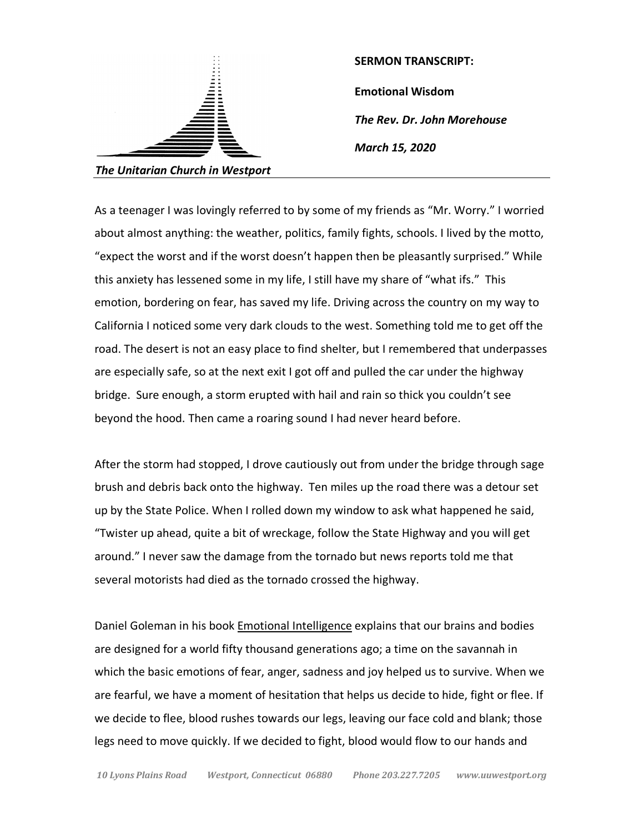

**SERMON TRANSCRIPT: Emotional Wisdom** *The Rev. Dr. John Morehouse March 15, 2020*

As a teenager I was lovingly referred to by some of my friends as "Mr. Worry." I worried about almost anything: the weather, politics, family fights, schools. I lived by the motto, "expect the worst and if the worst doesn't happen then be pleasantly surprised." While this anxiety has lessened some in my life, I still have my share of "what ifs." This emotion, bordering on fear, has saved my life. Driving across the country on my way to California I noticed some very dark clouds to the west. Something told me to get off the road. The desert is not an easy place to find shelter, but I remembered that underpasses are especially safe, so at the next exit I got off and pulled the car under the highway bridge. Sure enough, a storm erupted with hail and rain so thick you couldn't see beyond the hood. Then came a roaring sound I had never heard before.

After the storm had stopped, I drove cautiously out from under the bridge through sage brush and debris back onto the highway. Ten miles up the road there was a detour set up by the State Police. When I rolled down my window to ask what happened he said, "Twister up ahead, quite a bit of wreckage, follow the State Highway and you will get around." I never saw the damage from the tornado but news reports told me that several motorists had died as the tornado crossed the highway.

Daniel Goleman in his book Emotional Intelligence explains that our brains and bodies are designed for a world fifty thousand generations ago; a time on the savannah in which the basic emotions of fear, anger, sadness and joy helped us to survive. When we are fearful, we have a moment of hesitation that helps us decide to hide, fight or flee. If we decide to flee, blood rushes towards our legs, leaving our face cold and blank; those legs need to move quickly. If we decided to fight, blood would flow to our hands and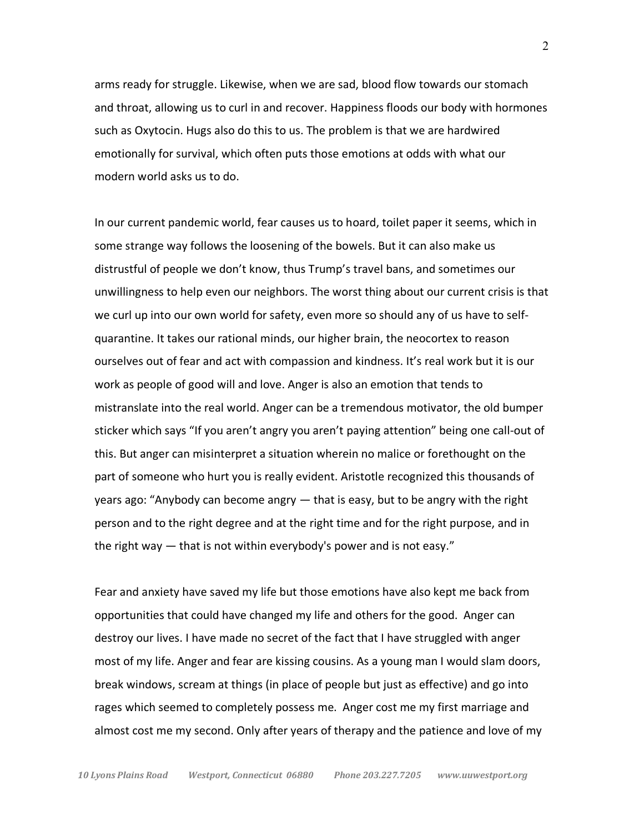arms ready for struggle. Likewise, when we are sad, blood flow towards our stomach and throat, allowing us to curl in and recover. Happiness floods our body with hormones such as Oxytocin. Hugs also do this to us. The problem is that we are hardwired emotionally for survival, which often puts those emotions at odds with what our modern world asks us to do.

In our current pandemic world, fear causes us to hoard, toilet paper it seems, which in some strange way follows the loosening of the bowels. But it can also make us distrustful of people we don't know, thus Trump's travel bans, and sometimes our unwillingness to help even our neighbors. The worst thing about our current crisis is that we curl up into our own world for safety, even more so should any of us have to selfquarantine. It takes our rational minds, our higher brain, the neocortex to reason ourselves out of fear and act with compassion and kindness. It's real work but it is our work as people of good will and love. Anger is also an emotion that tends to mistranslate into the real world. Anger can be a tremendous motivator, the old bumper sticker which says "If you aren't angry you aren't paying attention" being one call-out of this. But anger can misinterpret a situation wherein no malice or forethought on the part of someone who hurt you is really evident. Aristotle recognized this thousands of years ago: "Anybody can become angry — that is easy, but to be angry with the right person and to the right degree and at the right time and for the right purpose, and in the right way — that is not within everybody's power and is not easy."

Fear and anxiety have saved my life but those emotions have also kept me back from opportunities that could have changed my life and others for the good. Anger can destroy our lives. I have made no secret of the fact that I have struggled with anger most of my life. Anger and fear are kissing cousins. As a young man I would slam doors, break windows, scream at things (in place of people but just as effective) and go into rages which seemed to completely possess me. Anger cost me my first marriage and almost cost me my second. Only after years of therapy and the patience and love of my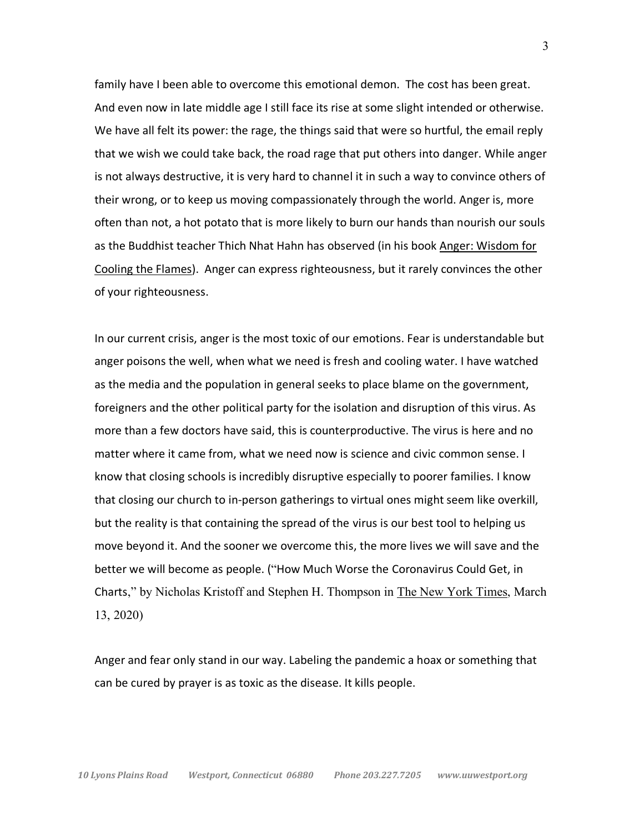family have I been able to overcome this emotional demon. The cost has been great. And even now in late middle age I still face its rise at some slight intended or otherwise. We have all felt its power: the rage, the things said that were so hurtful, the email reply that we wish we could take back, the road rage that put others into danger. While anger is not always destructive, it is very hard to channel it in such a way to convince others of their wrong, or to keep us moving compassionately through the world. Anger is, more often than not, a hot potato that is more likely to burn our hands than nourish our souls as the Buddhist teacher Thich Nhat Hahn has observed (in his book Anger: Wisdom for Cooling the Flames). Anger can express righteousness, but it rarely convinces the other of your righteousness.

In our current crisis, anger is the most toxic of our emotions. Fear is understandable but anger poisons the well, when what we need is fresh and cooling water. I have watched as the media and the population in general seeks to place blame on the government, foreigners and the other political party for the isolation and disruption of this virus. As more than a few doctors have said, this is counterproductive. The virus is here and no matter where it came from, what we need now is science and civic common sense. I know that closing schools is incredibly disruptive especially to poorer families. I know that closing our church to in-person gatherings to virtual ones might seem like overkill, but the reality is that containing the spread of the virus is our best tool to helping us move beyond it. And the sooner we overcome this, the more lives we will save and the better we will become as people. ("How Much Worse the Coronavirus Could Get, in Charts," by Nicholas Kristoff and Stephen H. Thompson in The New York Times, March 13, 2020)

Anger and fear only stand in our way. Labeling the pandemic a hoax or something that can be cured by prayer is as toxic as the disease. It kills people.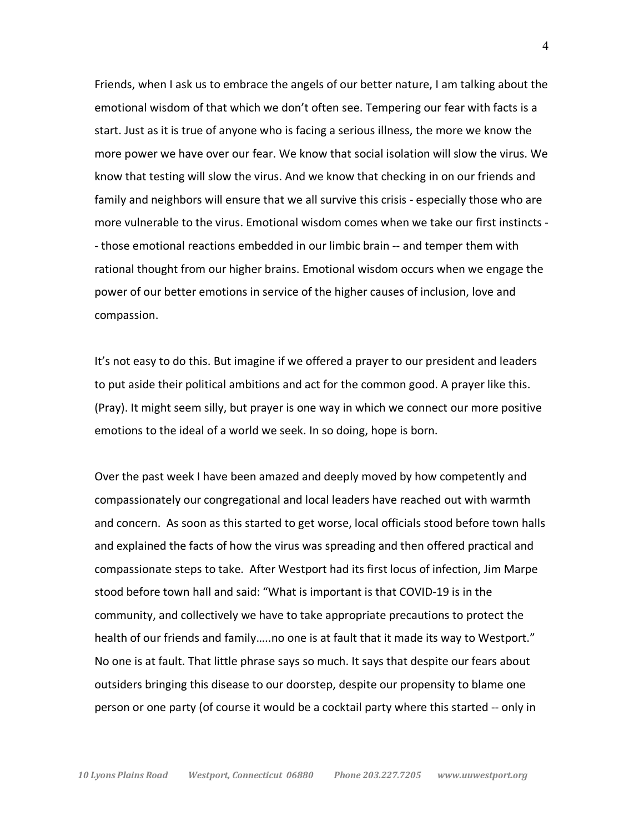Friends, when I ask us to embrace the angels of our better nature, I am talking about the emotional wisdom of that which we don't often see. Tempering our fear with facts is a start. Just as it is true of anyone who is facing a serious illness, the more we know the more power we have over our fear. We know that social isolation will slow the virus. We know that testing will slow the virus. And we know that checking in on our friends and family and neighbors will ensure that we all survive this crisis - especially those who are more vulnerable to the virus. Emotional wisdom comes when we take our first instincts - - those emotional reactions embedded in our limbic brain -- and temper them with rational thought from our higher brains. Emotional wisdom occurs when we engage the power of our better emotions in service of the higher causes of inclusion, love and compassion.

It's not easy to do this. But imagine if we offered a prayer to our president and leaders to put aside their political ambitions and act for the common good. A prayer like this. (Pray). It might seem silly, but prayer is one way in which we connect our more positive emotions to the ideal of a world we seek. In so doing, hope is born.

Over the past week I have been amazed and deeply moved by how competently and compassionately our congregational and local leaders have reached out with warmth and concern. As soon as this started to get worse, local officials stood before town halls and explained the facts of how the virus was spreading and then offered practical and compassionate steps to take. After Westport had its first locus of infection, Jim Marpe stood before town hall and said: "What is important is that COVID-19 is in the community, and collectively we have to take appropriate precautions to protect the health of our friends and family…..no one is at fault that it made its way to Westport." No one is at fault. That little phrase says so much. It says that despite our fears about outsiders bringing this disease to our doorstep, despite our propensity to blame one person or one party (of course it would be a cocktail party where this started -- only in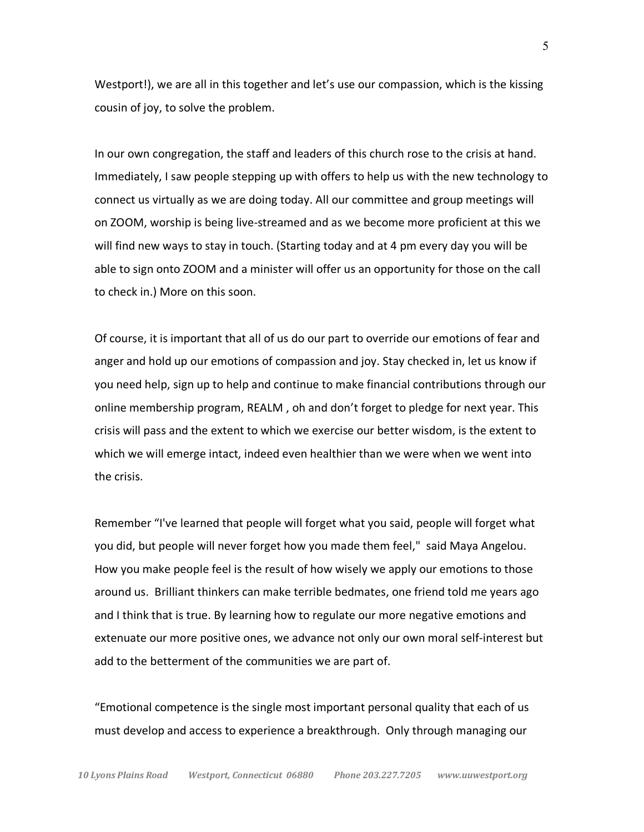Westport!), we are all in this together and let's use our compassion, which is the kissing cousin of joy, to solve the problem.

In our own congregation, the staff and leaders of this church rose to the crisis at hand. Immediately, I saw people stepping up with offers to help us with the new technology to connect us virtually as we are doing today. All our committee and group meetings will on ZOOM, worship is being live-streamed and as we become more proficient at this we will find new ways to stay in touch. (Starting today and at 4 pm every day you will be able to sign onto ZOOM and a minister will offer us an opportunity for those on the call to check in.) More on this soon.

Of course, it is important that all of us do our part to override our emotions of fear and anger and hold up our emotions of compassion and joy. Stay checked in, let us know if you need help, sign up to help and continue to make financial contributions through our online membership program, REALM , oh and don't forget to pledge for next year. This crisis will pass and the extent to which we exercise our better wisdom, is the extent to which we will emerge intact, indeed even healthier than we were when we went into the crisis.

Remember "I've learned that people will forget what you said, people will forget what you did, but people will never forget how you made them feel," said Maya Angelou. How you make people feel is the result of how wisely we apply our emotions to those around us. Brilliant thinkers can make terrible bedmates, one friend told me years ago and I think that is true. By learning how to regulate our more negative emotions and extenuate our more positive ones, we advance not only our own moral self-interest but add to the betterment of the communities we are part of.

"Emotional competence is the single most important personal quality that each of us must develop and access to experience a breakthrough. Only through managing our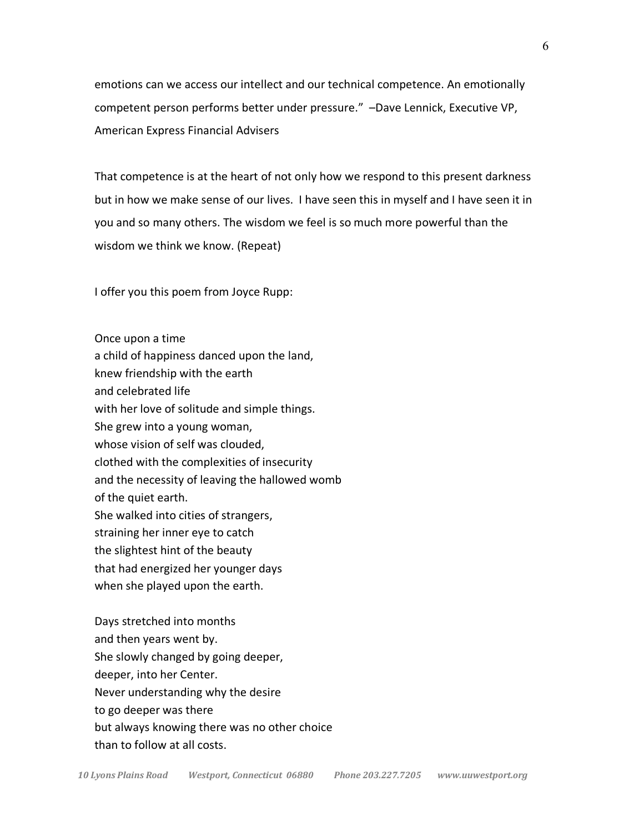emotions can we access our intellect and our technical competence. An emotionally competent person performs better under pressure." –Dave Lennick, Executive VP, American Express Financial Advisers

That competence is at the heart of not only how we respond to this present darkness but in how we make sense of our lives. I have seen this in myself and I have seen it in you and so many others. The wisdom we feel is so much more powerful than the wisdom we think we know. (Repeat)

I offer you this poem from Joyce Rupp:

Once upon a time a child of happiness danced upon the land, knew friendship with the earth and celebrated life with her love of solitude and simple things. She grew into a young woman, whose vision of self was clouded, clothed with the complexities of insecurity and the necessity of leaving the hallowed womb of the quiet earth. She walked into cities of strangers, straining her inner eye to catch the slightest hint of the beauty that had energized her younger days when she played upon the earth.

Days stretched into months and then years went by. She slowly changed by going deeper, deeper, into her Center. Never understanding why the desire to go deeper was there but always knowing there was no other choice than to follow at all costs.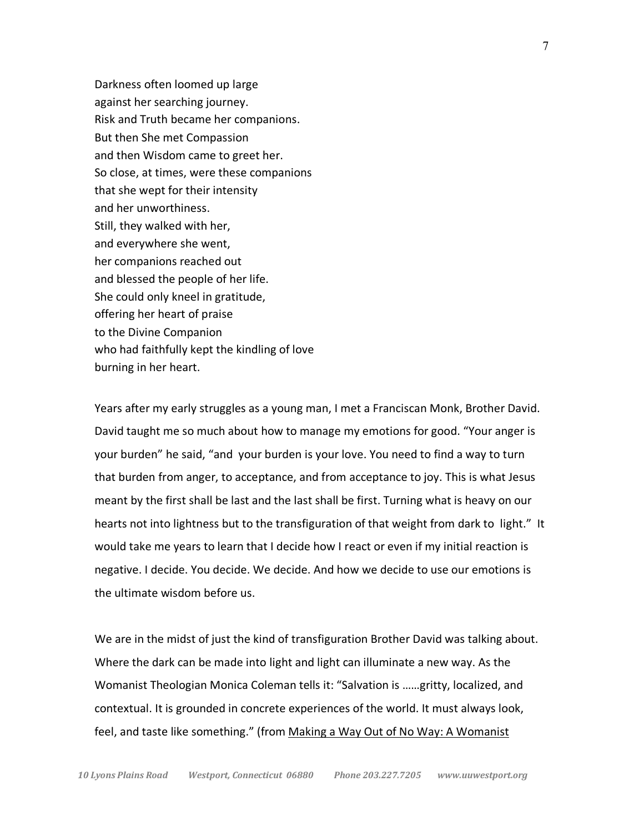Darkness often loomed up large against her searching journey. Risk and Truth became her companions. But then She met Compassion and then Wisdom came to greet her. So close, at times, were these companions that she wept for their intensity and her unworthiness. Still, they walked with her, and everywhere she went, her companions reached out and blessed the people of her life. She could only kneel in gratitude, offering her heart of praise to the Divine Companion who had faithfully kept the kindling of love burning in her heart.

Years after my early struggles as a young man, I met a Franciscan Monk, Brother David. David taught me so much about how to manage my emotions for good. "Your anger is your burden" he said, "and your burden is your love. You need to find a way to turn that burden from anger, to acceptance, and from acceptance to joy. This is what Jesus meant by the first shall be last and the last shall be first. Turning what is heavy on our hearts not into lightness but to the transfiguration of that weight from dark to light." It would take me years to learn that I decide how I react or even if my initial reaction is negative. I decide. You decide. We decide. And how we decide to use our emotions is the ultimate wisdom before us.

We are in the midst of just the kind of transfiguration Brother David was talking about. Where the dark can be made into light and light can illuminate a new way. As the Womanist Theologian Monica Coleman tells it: "Salvation is ……gritty, localized, and contextual. It is grounded in concrete experiences of the world. It must always look, feel, and taste like something." (from Making a Way Out of No Way: A Womanist